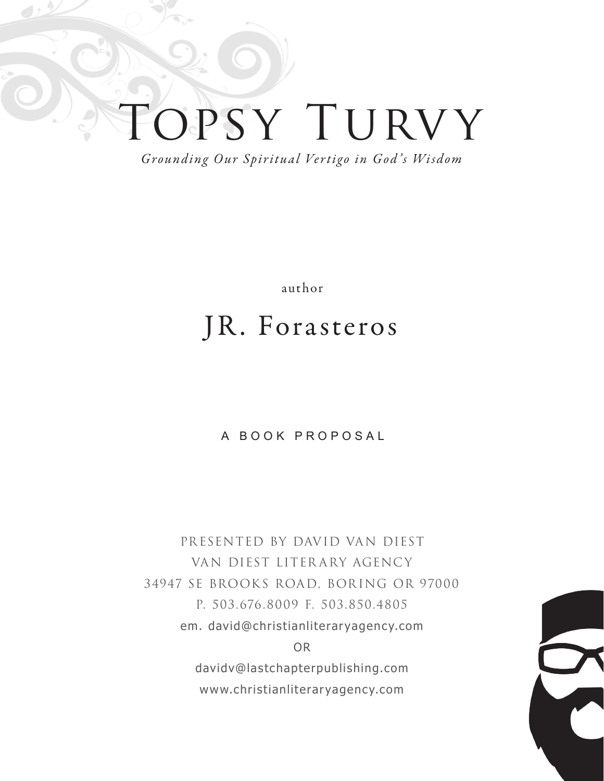# OPSY TURVY

*Grounding Our Spiritual Vertigo in God 's Wisdom*

author

### JR. Forasteros

#### A BOOK PROPOSAL

PRESENTED BY DAVID VAN DIEST VAN DIEST LITER ARY AGENCY 34947 SE BROOKS ROAD, BORING OR 97000 P. 503.676.8009 F. 503.850.4805 em. david@christianliteraryagency.com OR davidv@lastchapterpublishing.com www.christianliteraryagency.com

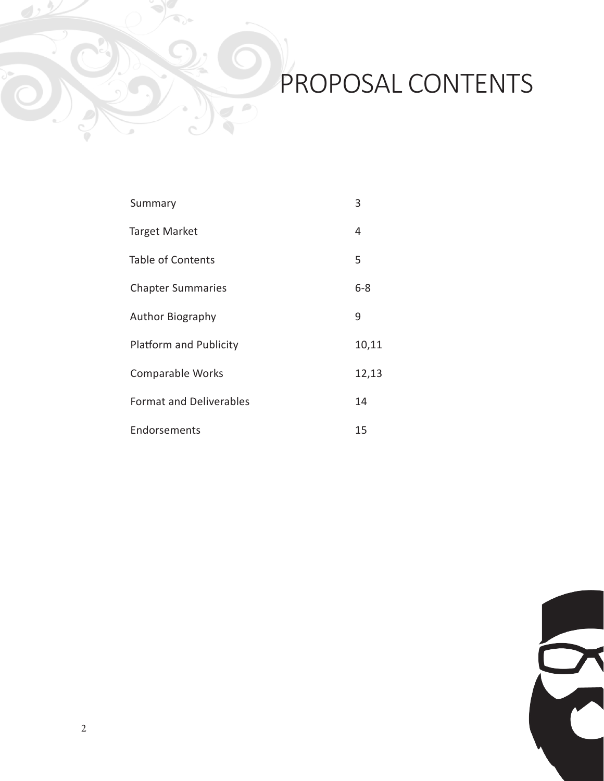# PROPOSAL CONTENTS

| Summary                       | 3       |
|-------------------------------|---------|
| Target Market                 | 4       |
| <b>Table of Contents</b>      | 5       |
| <b>Chapter Summaries</b>      | $6 - 8$ |
| <b>Author Biography</b>       | 9       |
| <b>Platform and Publicity</b> | 10,11   |

- Comparable Works 12,13
- Format and Deliverables 14
- Endorsements 15

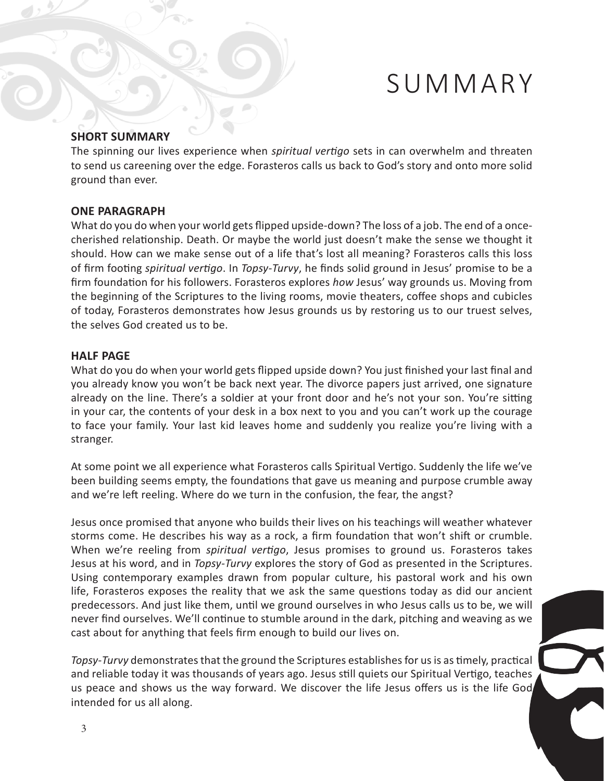### SUMMARY

#### **SHORT SUMMARY**

The spinning our lives experience when *spiritual vertigo* sets in can overwhelm and threaten to send us careening over the edge. Forasteros calls us back to God's story and onto more solid ground than ever.

#### **ONE PARAGRAPH**

What do you do when your world gets flipped upside-down? The loss of a job. The end of a oncecherished relationship. Death. Or maybe the world just doesn't make the sense we thought it should. How can we make sense out of a life that's lost all meaning? Forasteros calls this loss of firm footing *spiritual vertigo*. In *Topsy-Turvy*, he finds solid ground in Jesus' promise to be a firm foundation for his followers. Forasteros explores *how* Jesus' way grounds us. Moving from the beginning of the Scriptures to the living rooms, movie theaters, coffee shops and cubicles of today, Forasteros demonstrates how Jesus grounds us by restoring us to our truest selves, the selves God created us to be.

#### **HALF PAGE**

What do you do when your world gets flipped upside down? You just finished your last final and you already know you won't be back next year. The divorce papers just arrived, one signature already on the line. There's a soldier at your front door and he's not your son. You're sitting in your car, the contents of your desk in a box next to you and you can't work up the courage to face your family. Your last kid leaves home and suddenly you realize you're living with a stranger.

At some point we all experience what Forasteros calls Spiritual Vertigo. Suddenly the life we've been building seems empty, the foundations that gave us meaning and purpose crumble away and we're left reeling. Where do we turn in the confusion, the fear, the angst?

Jesus once promised that anyone who builds their lives on his teachings will weather whatever storms come. He describes his way as a rock, a firm foundation that won't shift or crumble. When we're reeling from *spiritual vertigo*, Jesus promises to ground us. Forasteros takes Jesus at his word, and in *Topsy-Turvy* explores the story of God as presented in the Scriptures. Using contemporary examples drawn from popular culture, his pastoral work and his own life, Forasteros exposes the reality that we ask the same questions today as did our ancient predecessors. And just like them, until we ground ourselves in who Jesus calls us to be, we will never find ourselves. We'll continue to stumble around in the dark, pitching and weaving as we cast about for anything that feels firm enough to build our lives on.

*Topsy-Turvy* demonstrates that the ground the Scriptures establishes for us is as timely, practical and reliable today it was thousands of years ago. Jesus still quiets our Spiritual Vertigo, teaches us peace and shows us the way forward. We discover the life Jesus offers us is the life God intended for us all along.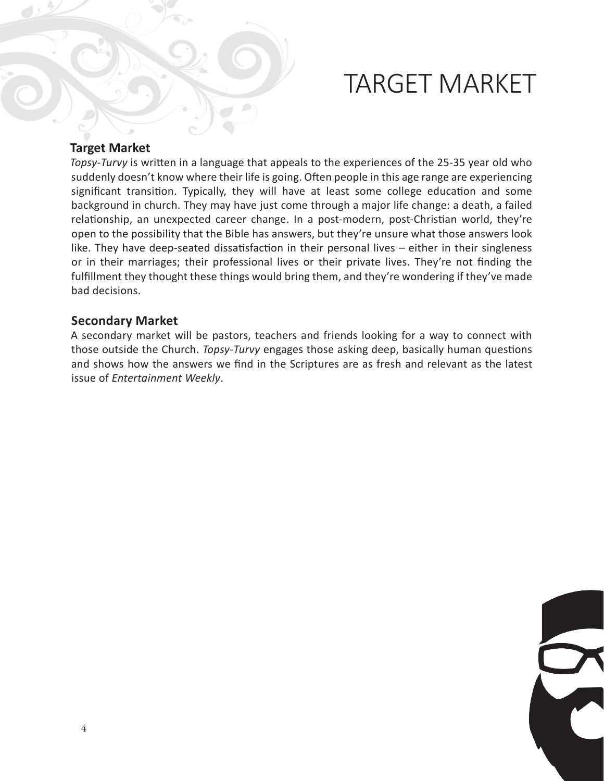### TARGET MARKET

#### **Target Market**

*Topsy-Turvy* is written in a language that appeals to the experiences of the 25-35 year old who suddenly doesn't know where their life is going. Often people in this age range are experiencing significant transition. Typically, they will have at least some college education and some background in church. They may have just come through a major life change: a death, a failed relationship, an unexpected career change. In a post-modern, post-Christian world, they're open to the possibility that the Bible has answers, but they're unsure what those answers look like. They have deep-seated dissatisfaction in their personal lives – either in their singleness or in their marriages; their professional lives or their private lives. They're not finding the fulfillment they thought these things would bring them, and they're wondering if they've made bad decisions.

#### **Secondary Market**

A secondary market will be pastors, teachers and friends looking for a way to connect with those outside the Church. *Topsy-Turvy* engages those asking deep, basically human questions and shows how the answers we find in the Scriptures are as fresh and relevant as the latest issue of *Entertainment Weekly*.

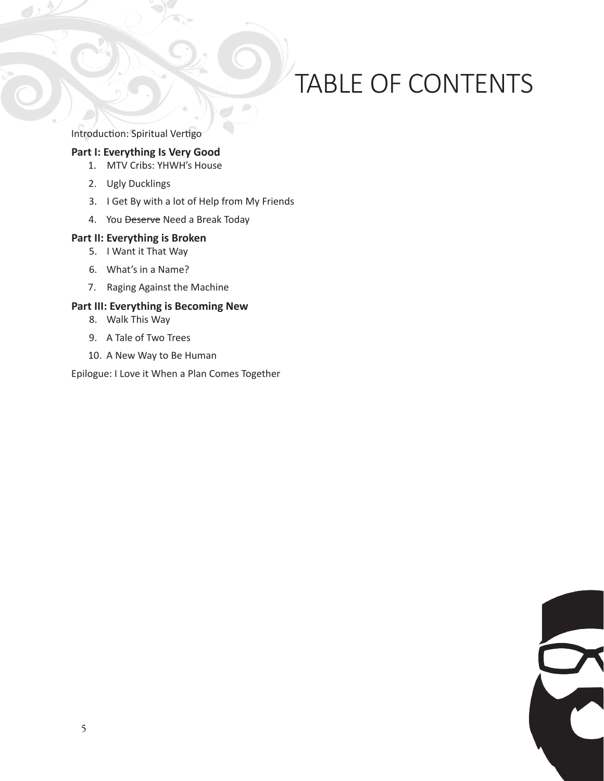# TABLE OF CONTENTS

Introduction: Spiritual Vertigo

#### **Part I: Everything Is Very Good**

- 1. MTV Cribs: YHWH's House
- 2. Ugly Ducklings
- 3. I Get By with a lot of Help from My Friends
- 4. You Deserve Need a Break Today

#### **Part II: Everything is Broken**

- 5. I Want it That Way
- 6. What's in a Name?
- 7. Raging Against the Machine

#### **Part III: Everything is Becoming New**

- 8. Walk This Way
- 9. A Tale of Two Trees
- 10. A New Way to Be Human

Epilogue: I Love it When a Plan Comes Together

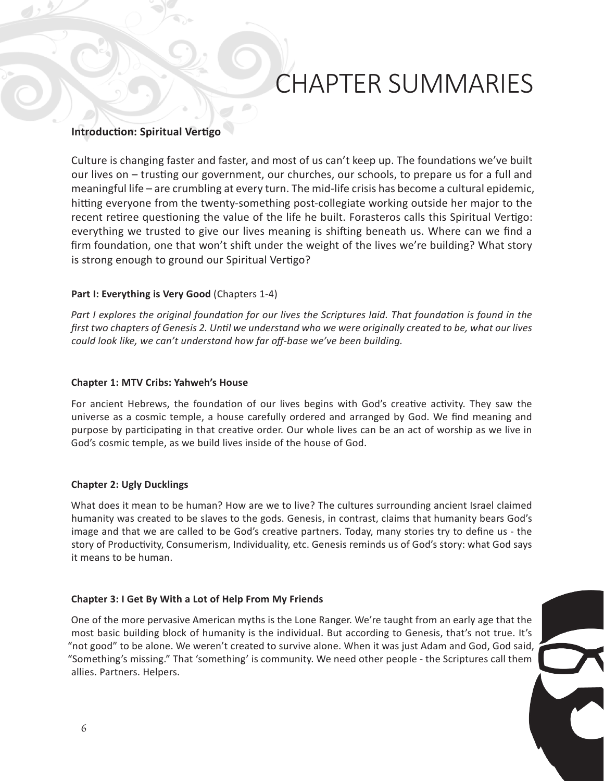# CHAPTER SUMMARIES

#### **Introduction: Spiritual Vertigo**

Culture is changing faster and faster, and most of us can't keep up. The foundations we've built our lives on – trusting our government, our churches, our schools, to prepare us for a full and meaningful life – are crumbling at every turn. The mid-life crisis has become a cultural epidemic, hitting everyone from the twenty-something post-collegiate working outside her major to the recent retiree questioning the value of the life he built. Forasteros calls this Spiritual Vertigo: everything we trusted to give our lives meaning is shifting beneath us. Where can we find a firm foundation, one that won't shift under the weight of the lives we're building? What story is strong enough to ground our Spiritual Vertigo?

#### **Part I: Everything is Very Good** (Chapters 1-4)

*Part I explores the original foundation for our lives the Scriptures laid. That foundation is found in the first two chapters of Genesis 2. Until we understand who we were originally created to be, what our lives could look like, we can't understand how far off-base we've been building.*

#### **Chapter 1: MTV Cribs: Yahweh's House**

For ancient Hebrews, the foundation of our lives begins with God's creative activity. They saw the universe as a cosmic temple, a house carefully ordered and arranged by God. We find meaning and purpose by participating in that creative order. Our whole lives can be an act of worship as we live in God's cosmic temple, as we build lives inside of the house of God.

#### **Chapter 2: Ugly Ducklings**

What does it mean to be human? How are we to live? The cultures surrounding ancient Israel claimed humanity was created to be slaves to the gods. Genesis, in contrast, claims that humanity bears God's image and that we are called to be God's creative partners. Today, many stories try to define us - the story of Productivity, Consumerism, Individuality, etc. Genesis reminds us of God's story: what God says it means to be human.

#### **Chapter 3: I Get By With a Lot of Help From My Friends**

One of the more pervasive American myths is the Lone Ranger. We're taught from an early age that the most basic building block of humanity is the individual. But according to Genesis, that's not true. It's "not good" to be alone. We weren't created to survive alone. When it was just Adam and God, God said, "Something's missing." That 'something' is community. We need other people - the Scriptures call them allies. Partners. Helpers.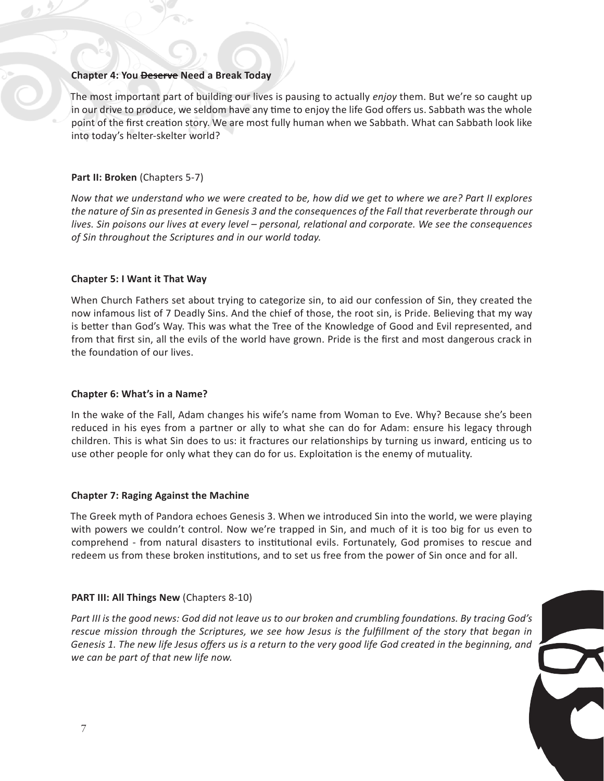#### **Chapter 4: You Deserve Need a Break Today**

The most important part of building our lives is pausing to actually *enjoy* them. But we're so caught up in our drive to produce, we seldom have any time to enjoy the life God offers us. Sabbath was the whole point of the first creation story. We are most fully human when we Sabbath. What can Sabbath look like into today's helter-skelter world?

#### **Part II: Broken (Chapters 5-7)**

*Now that we understand who we were created to be, how did we get to where we are? Part II explores the nature of Sin as presented in Genesis 3 and the consequences of the Fall that reverberate through our lives. Sin poisons our lives at every level – personal, relational and corporate. We see the consequences of Sin throughout the Scriptures and in our world today.*

#### **Chapter 5: I Want it That Way**

When Church Fathers set about trying to categorize sin, to aid our confession of Sin, they created the now infamous list of 7 Deadly Sins. And the chief of those, the root sin, is Pride. Believing that my way is better than God's Way. This was what the Tree of the Knowledge of Good and Evil represented, and from that first sin, all the evils of the world have grown. Pride is the first and most dangerous crack in the foundation of our lives.

#### **Chapter 6: What's in a Name?**

In the wake of the Fall, Adam changes his wife's name from Woman to Eve. Why? Because she's been reduced in his eyes from a partner or ally to what she can do for Adam: ensure his legacy through children. This is what Sin does to us: it fractures our relationships by turning us inward, enticing us to use other people for only what they can do for us. Exploitation is the enemy of mutuality.

#### **Chapter 7: Raging Against the Machine**

The Greek myth of Pandora echoes Genesis 3. When we introduced Sin into the world, we were playing with powers we couldn't control. Now we're trapped in Sin, and much of it is too big for us even to comprehend - from natural disasters to institutional evils. Fortunately, God promises to rescue and redeem us from these broken institutions, and to set us free from the power of Sin once and for all.

#### **PART III: All Things New** (Chapters 8-10)

*Part III is the good news: God did not leave us to our broken and crumbling foundations. By tracing God's rescue mission through the Scriptures, we see how Jesus is the fulfillment of the story that began in Genesis 1. The new life Jesus offers us is a return to the very good life God created in the beginning, and we can be part of that new life now.*

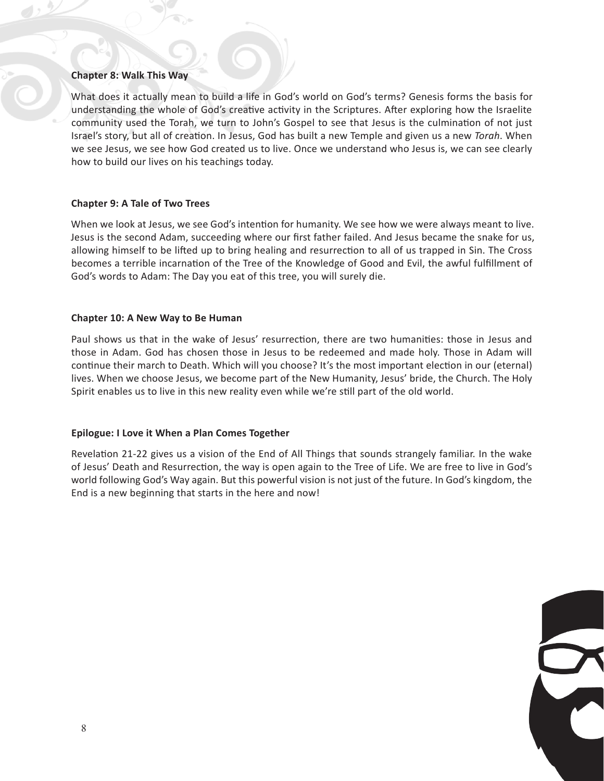#### **Chapter 8: Walk This Way**

What does it actually mean to build a life in God's world on God's terms? Genesis forms the basis for understanding the whole of God's creative activity in the Scriptures. After exploring how the Israelite community used the Torah, we turn to John's Gospel to see that Jesus is the culmination of not just Israel's story, but all of creation. In Jesus, God has built a new Temple and given us a new *Torah*. When we see Jesus, we see how God created us to live. Once we understand who Jesus is, we can see clearly how to build our lives on his teachings today.

#### **Chapter 9: A Tale of Two Trees**

When we look at Jesus, we see God's intention for humanity. We see how we were always meant to live. Jesus is the second Adam, succeeding where our first father failed. And Jesus became the snake for us, allowing himself to be lifted up to bring healing and resurrection to all of us trapped in Sin. The Cross becomes a terrible incarnation of the Tree of the Knowledge of Good and Evil, the awful fulfillment of God's words to Adam: The Day you eat of this tree, you will surely die.

#### **Chapter 10: A New Way to Be Human**

Paul shows us that in the wake of Jesus' resurrection, there are two humanities: those in Jesus and those in Adam. God has chosen those in Jesus to be redeemed and made holy. Those in Adam will continue their march to Death. Which will you choose? It's the most important election in our (eternal) lives. When we choose Jesus, we become part of the New Humanity, Jesus' bride, the Church. The Holy Spirit enables us to live in this new reality even while we're still part of the old world.

#### **Epilogue: I Love it When a Plan Comes Together**

Revelation 21-22 gives us a vision of the End of All Things that sounds strangely familiar. In the wake of Jesus' Death and Resurrection, the way is open again to the Tree of Life. We are free to live in God's world following God's Way again. But this powerful vision is not just of the future. In God's kingdom, the End is a new beginning that starts in the here and now!

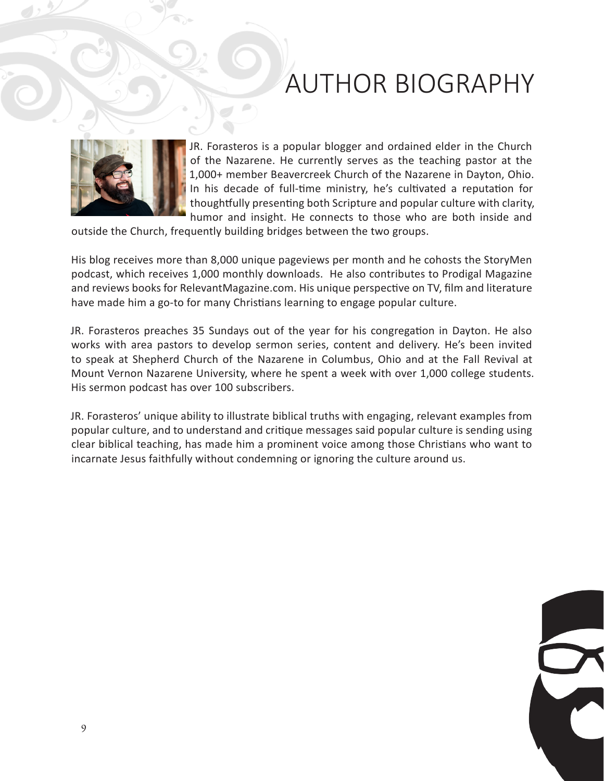### AUTHOR BIOGRAPHY



JR. Forasteros is a popular blogger and ordained elder in the Church of the Nazarene. He currently serves as the teaching pastor at the 1,000+ member Beavercreek Church of the Nazarene in Dayton, Ohio. In his decade of full-time ministry, he's cultivated a reputation for thoughtfully presenting both Scripture and popular culture with clarity, humor and insight. He connects to those who are both inside and

outside the Church, frequently building bridges between the two groups.

His blog receives more than 8,000 unique pageviews per month and he cohosts the StoryMen podcast, which receives 1,000 monthly downloads. He also contributes to Prodigal Magazine and reviews books for RelevantMagazine.com. His unique perspective on TV, film and literature have made him a go-to for many Christians learning to engage popular culture.

JR. Forasteros preaches 35 Sundays out of the year for his congregation in Dayton. He also works with area pastors to develop sermon series, content and delivery. He's been invited to speak at Shepherd Church of the Nazarene in Columbus, Ohio and at the Fall Revival at Mount Vernon Nazarene University, where he spent a week with over 1,000 college students. His sermon podcast has over 100 subscribers.

JR. Forasteros' unique ability to illustrate biblical truths with engaging, relevant examples from popular culture, and to understand and critique messages said popular culture is sending using clear biblical teaching, has made him a prominent voice among those Christians who want to incarnate Jesus faithfully without condemning or ignoring the culture around us.

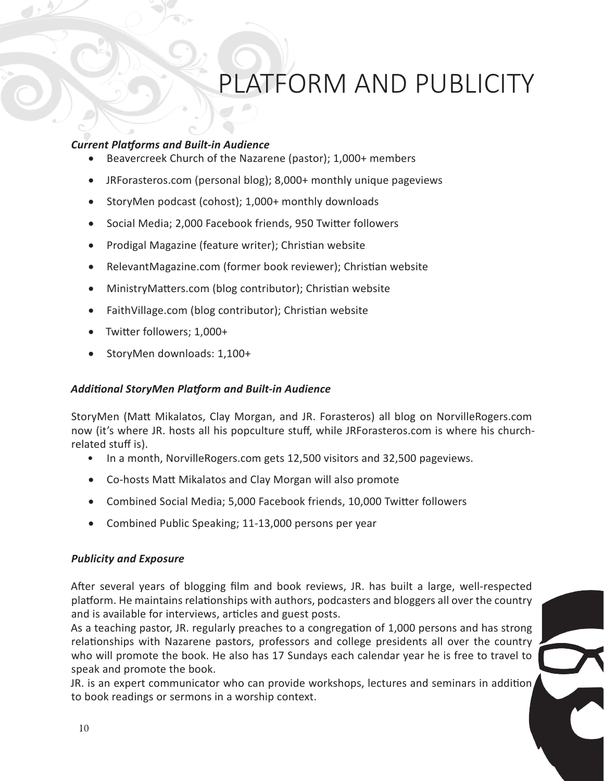# PLATFORM AND PUBLICITY

#### *Current Platforms and Built-in Audience*

- Beavercreek Church of the Nazarene (pastor); 1,000+ members
- JRForasteros.com (personal blog); 8,000+ monthly unique pageviews
- StoryMen podcast (cohost); 1,000+ monthly downloads
- Social Media; 2,000 Facebook friends, 950 Twitter followers
- • Prodigal Magazine (feature writer); Christian website
- RelevantMagazine.com (former book reviewer); Christian website
- MinistryMatters.com (blog contributor); Christian website
- FaithVillage.com (blog contributor); Christian website
- Twitter followers; 1,000+
- StoryMen downloads: 1,100+

#### *Additional StoryMen Platform and Built-in Audience*

StoryMen (Matt Mikalatos, Clay Morgan, and JR. Forasteros) all blog on NorvilleRogers.com now (it's where JR. hosts all his popculture stuff, while JRForasteros.com is where his churchrelated stuff is).

- In a month, NorvilleRogers.com gets 12,500 visitors and 32,500 pageviews.
- • Co-hosts Matt Mikalatos and Clay Morgan will also promote
- • Combined Social Media; 5,000 Facebook friends, 10,000 Twitter followers
- Combined Public Speaking; 11-13,000 persons per year

#### *Publicity and Exposure*

After several years of blogging film and book reviews, JR. has built a large, well-respected platform. He maintains relationships with authors, podcasters and bloggers all over the country and is available for interviews, articles and guest posts.

As a teaching pastor, JR. regularly preaches to a congregation of 1,000 persons and has strong relationships with Nazarene pastors, professors and college presidents all over the country who will promote the book. He also has 17 Sundays each calendar year he is free to travel to speak and promote the book.

JR. is an expert communicator who can provide workshops, lectures and seminars in addition, to book readings or sermons in a worship context.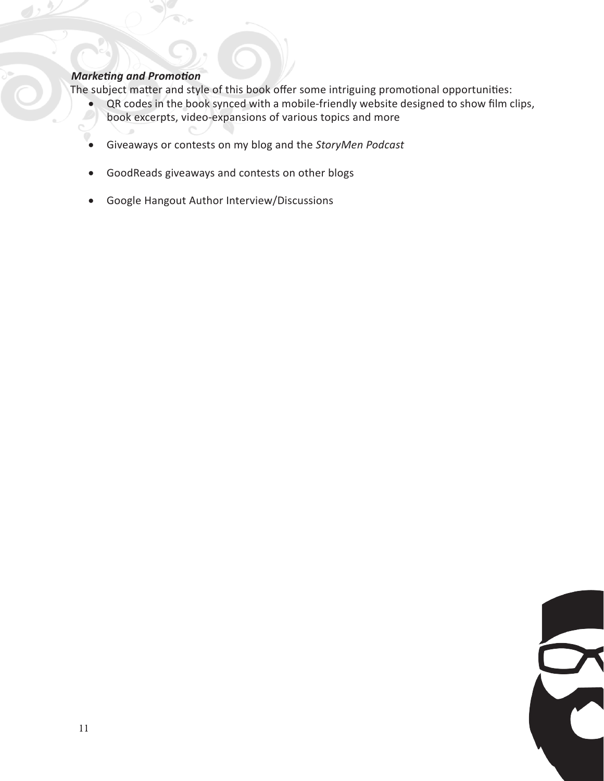#### *Marketing and Promotion*

The subject matter and style of this book offer some intriguing promotional opportunities:

- QR codes in the book synced with a mobile-friendly website designed to show film clips,<br>book excernts, video-expansions of various tonics and more book excerpts, video-expansions of various topics and more
- • Giveaways or contests on my blog and the *StoryMen Podcast*
- • GoodReads giveaways and contests on other blogs
- • Google Hangout Author Interview/Discussions

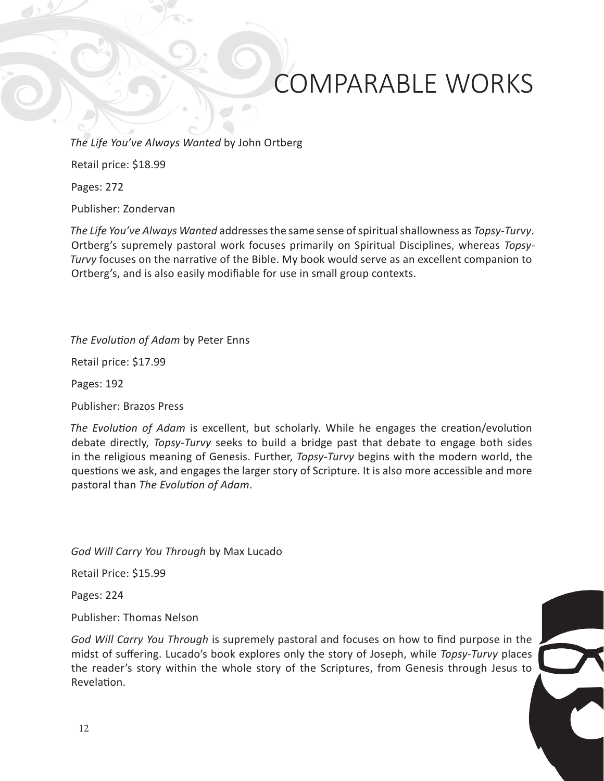# COMPARABLE WORKS

*The Life You've Always Wanted* by John Ortberg

Retail price: \$18.99

Pages: 272

Publisher: Zondervan

*The Life You've Always Wanted* addresses the same sense of spiritual shallowness as *Topsy-Turvy*. Ortberg's supremely pastoral work focuses primarily on Spiritual Disciplines, whereas *Topsy-Turvy* focuses on the narrative of the Bible. My book would serve as an excellent companion to Ortberg's, and is also easily modifiable for use in small group contexts.

*The Evolution of Adam* by Peter Enns

Retail price: \$17.99

Pages: 192

Publisher: Brazos Press

*The Evolution of Adam* is excellent, but scholarly. While he engages the creation/evolution debate directly, *Topsy-Turvy* seeks to build a bridge past that debate to engage both sides in the religious meaning of Genesis. Further, *Topsy-Turvy* begins with the modern world, the questions we ask, and engages the larger story of Scripture. It is also more accessible and more pastoral than *The Evolution of Adam*.

*God Will Carry You Through* by Max Lucado

Retail Price: \$15.99

Pages: 224

Publisher: Thomas Nelson

*God Will Carry You Through* is supremely pastoral and focuses on how to find purpose in the midst of suffering. Lucado's book explores only the story of Joseph, while *Topsy-Turvy* places the reader's story within the whole story of the Scriptures, from Genesis through Jesus to Revelation.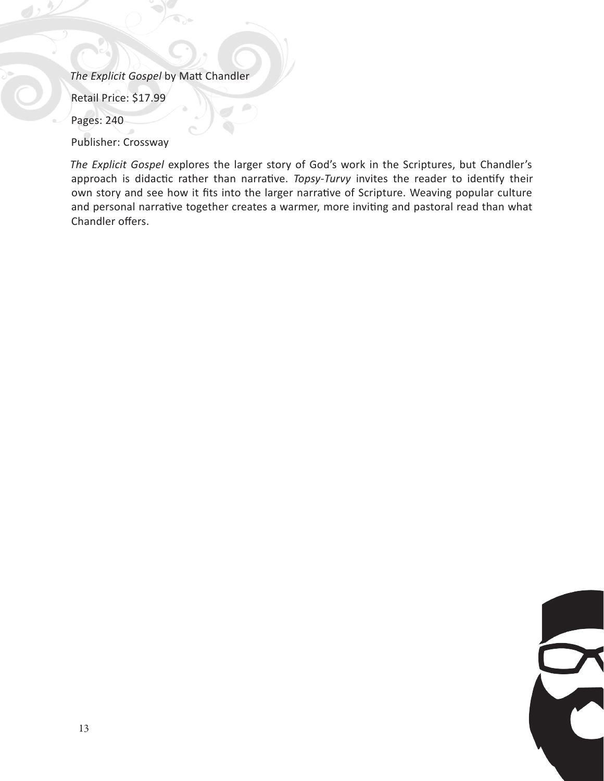*The Explicit Gospel* by Matt Chandler

Retail Price: \$17.99

Pages: 240

Publisher: Crossway

*The Explicit Gospel* explores the larger story of God's work in the Scriptures, but Chandler's approach is didactic rather than narrative. *Topsy-Turvy* invites the reader to identify their own story and see how it fits into the larger narrative of Scripture. Weaving popular culture and personal narrative together creates a warmer, more inviting and pastoral read than what Chandler offers.

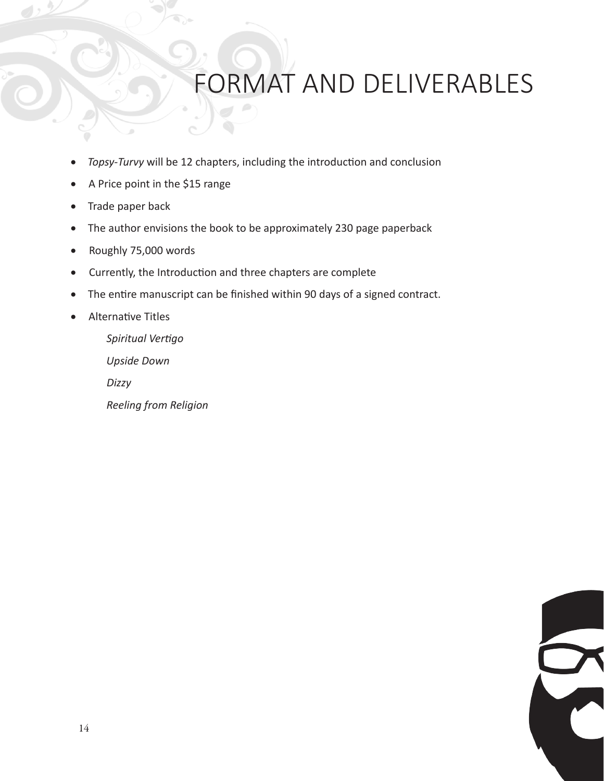### ORMAT AND DELIVERABLES

- Topsy-Turvy will be 12 chapters, including the introduction and conclusion
- • A Price point in the \$15 range
- Trade paper back
- The author envisions the book to be approximately 230 page paperback
- • Roughly 75,000 words
- • Currently, the Introduction and three chapters are complete
- The entire manuscript can be finished within 90 days of a signed contract.
- • Alternative Titles

*Spiritual Vertigo Upside Down Dizzy Reeling from Religion*